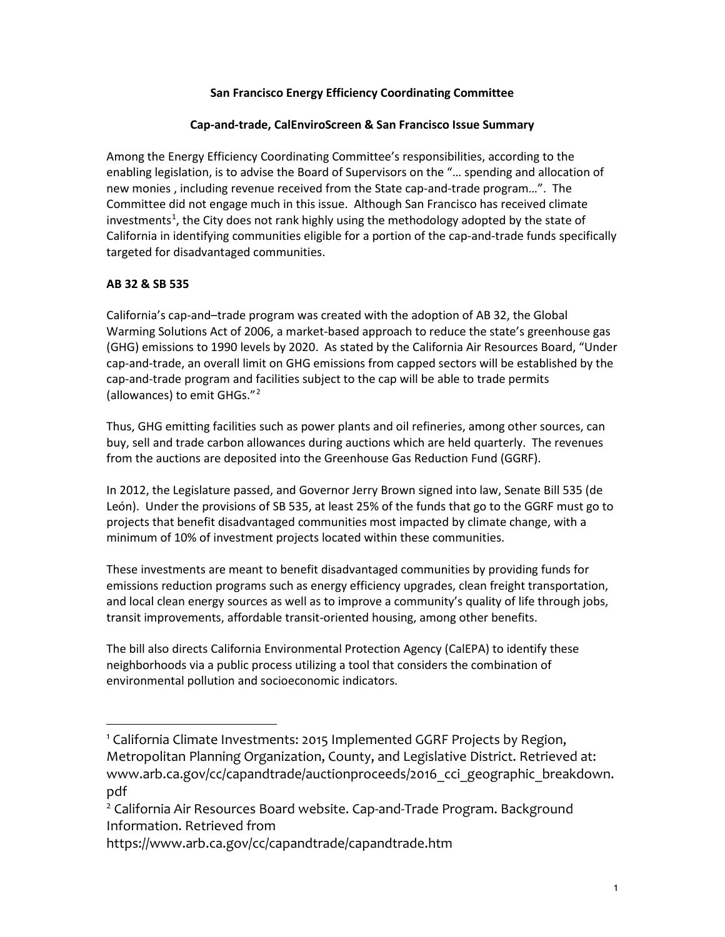## **San Francisco Energy Efficiency Coordinating Committee**

### **Cap-and-trade, CalEnviroScreen & San Francisco Issue Summary**

Among the Energy Efficiency Coordinating Committee's responsibilities, according to the enabling legislation, is to advise the Board of Supervisors on the "… spending and allocation of new monies , including revenue received from the State cap-and-trade program…". The Committee did not engage much in this issue. Although San Francisco has received climate investments<sup>[1](#page-0-0)</sup>, the City does not rank highly using the methodology adopted by the state of California in identifying communities eligible for a portion of the cap-and-trade funds specifically targeted for disadvantaged communities.

## **AB 32 & SB 535**

California's cap-and–trade program was created with the adoption of AB 32, the Global Warming Solutions Act of 2006, a market-based approach to reduce the state's greenhouse gas (GHG) emissions to 1990 levels by 2020. As stated by the California Air Resources Board, "Under cap-and-trade, an overall limit on GHG emissions from capped sectors will be established by the cap-and-trade program and facilities subject to the cap will be able to trade permits (allowances) to emit GHGs."<sup>[2](#page-0-1)</sup>

Thus, GHG emitting facilities such as power plants and oil refineries, among other sources, can buy, sell and trade carbon allowances during auctions which are held quarterly. The revenues from the auctions are deposited into the Greenhouse Gas Reduction Fund (GGRF).

In 2012, the Legislature passed, and Governor Jerry Brown signed into law, Senate Bill 535 (de León). Under the provisions of SB 535, at least 25% of the funds that go to the GGRF must go to projects that benefit disadvantaged communities most impacted by climate change, with a minimum of 10% of investment projects located within these communities.

These investments are meant to benefit disadvantaged communities by providing funds for emissions reduction programs such as energy efficiency upgrades, clean freight transportation, and local clean energy sources as well as to improve a community's quality of life through jobs, transit improvements, affordable transit-oriented housing, among other benefits.

The bill also directs California Environmental Protection Agency (CalEPA) to identify these neighborhoods via a public process utilizing a tool that considers the combination of environmental pollution and socioeconomic indicators.

<span id="page-0-0"></span><sup>1</sup> California Climate Investments: 2015 Implemented GGRF Projects by Region, Metropolitan Planning Organization, County, and Legislative District. Retrieved at: www.arb.ca.gov/cc/capandtrade/auctionproceeds/2016 cci geographic breakdown. pdf

<span id="page-0-1"></span><sup>2</sup> California Air Resources Board website. Cap-and-Trade Program. Background Information. Retrieved from

https://www.arb.ca.gov/cc/capandtrade/capandtrade.htm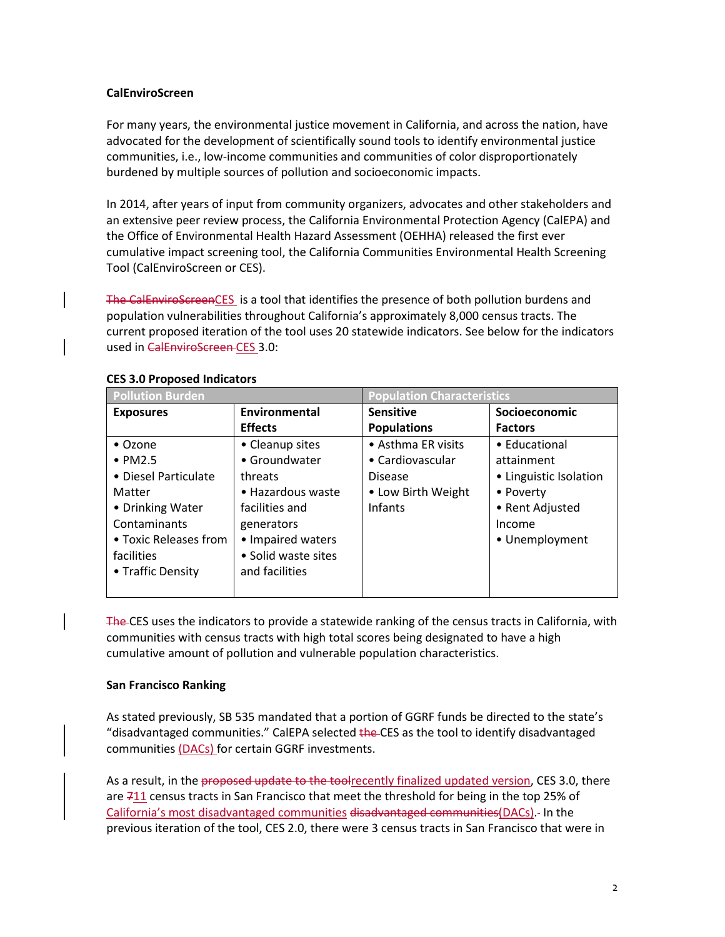### **CalEnviroScreen**

For many years, the environmental justice movement in California, and across the nation, have advocated for the development of scientifically sound tools to identify environmental justice communities, i.e., low-income communities and communities of color disproportionately burdened by multiple sources of pollution and socioeconomic impacts.

In 2014, after years of input from community organizers, advocates and other stakeholders and an extensive peer review process, the California Environmental Protection Agency (CalEPA) and the Office of Environmental Health Hazard Assessment (OEHHA) released the first ever cumulative impact screening tool, the California Communities Environmental Health Screening Tool (CalEnviroScreen or CES).

The CalEnviroScreenCES is a tool that identifies the presence of both pollution burdens and population vulnerabilities throughout California's approximately 8,000 census tracts. The current proposed iteration of the tool uses 20 statewide indicators. See below for the indicators used in CalEnviroScreen CES 3.0:

| <b>Pollution Burden</b> |                     | <b>Population Characteristics</b> |                        |
|-------------------------|---------------------|-----------------------------------|------------------------|
| <b>Exposures</b>        | Environmental       | <b>Sensitive</b>                  | Socioeconomic          |
|                         | <b>Effects</b>      | <b>Populations</b>                | <b>Factors</b>         |
| • Ozone                 | • Cleanup sites     | • Asthma ER visits                | • Educational          |
| $\bullet$ PM2.5         | • Groundwater       | • Cardiovascular                  | attainment             |
| • Diesel Particulate    | threats             | <b>Disease</b>                    | • Linguistic Isolation |
| Matter                  | • Hazardous waste   | • Low Birth Weight                | • Poverty              |
| • Drinking Water        | facilities and      | Infants                           | • Rent Adjusted        |
| Contaminants            | generators          |                                   | Income                 |
| • Toxic Releases from   | • Impaired waters   |                                   | • Unemployment         |
| facilities              | • Solid waste sites |                                   |                        |
| • Traffic Density       | and facilities      |                                   |                        |
|                         |                     |                                   |                        |

#### **CES 3.0 Proposed Indicators**

The CES uses the indicators to provide a statewide ranking of the census tracts in California, with communities with census tracts with high total scores being designated to have a high cumulative amount of pollution and vulnerable population characteristics.

### **San Francisco Ranking**

As stated previously, SB 535 mandated that a portion of GGRF funds be directed to the state's "disadvantaged communities." CalEPA selected the CES as the tool to identify disadvantaged communities (DACs) for certain GGRF investments.

As a result, in the proposed update to the toolrecently finalized updated version, CES 3.0, there are 711 census tracts in San Francisco that meet the threshold for being in the top 25% of California's most disadvantaged communities disadvantaged communities(DACs). In the previous iteration of the tool, CES 2.0, there were 3 census tracts in San Francisco that were in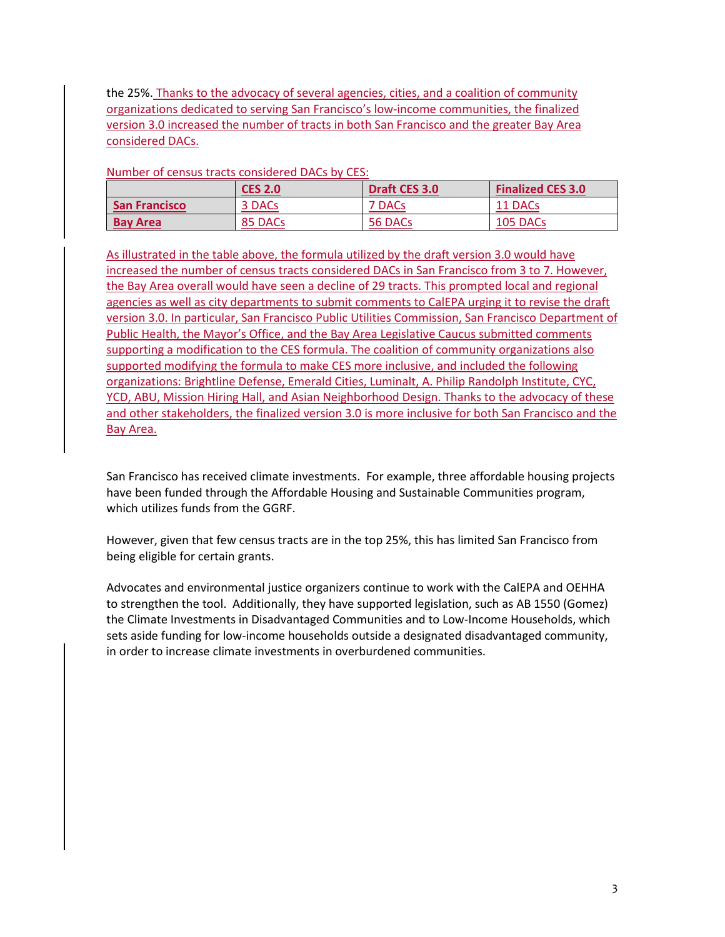the 25%. Thanks to the advocacy of several agencies, cities, and a coalition of community organizations dedicated to serving San Francisco's low-income communities, the finalized version 3.0 increased the number of tracts in both San Francisco and the greater Bay Area considered DACs.

|--|

|                      | <b>CES 2.0</b> | <b>Draft CES 3.0</b> | <b>Finalized CES 3.0</b> |
|----------------------|----------------|----------------------|--------------------------|
| <b>San Francisco</b> | 3 DACs         | 7 DACs               | 11 DACs                  |
| <b>Bay Area</b>      | 85 DACs        | 56 DACs              | 105 DACs                 |

As illustrated in the table above, the formula utilized by the draft version 3.0 would have increased the number of census tracts considered DACs in San Francisco from 3 to 7. However, the Bay Area overall would have seen a decline of 29 tracts. This prompted local and regional agencies as well as city departments to submit comments to CalEPA urging it to revise the draft version 3.0. In particular, San Francisco Public Utilities Commission, San Francisco Department of Public Health, the Mayor's Office, and the Bay Area Legislative Caucus submitted comments supporting a modification to the CES formula. The coalition of community organizations also supported modifying the formula to make CES more inclusive, and included the following organizations: Brightline Defense, Emerald Cities, Luminalt, A. Philip Randolph Institute, CYC, YCD, ABU, Mission Hiring Hall, and Asian Neighborhood Design. Thanks to the advocacy of these and other stakeholders, the finalized version 3.0 is more inclusive for both San Francisco and the Bay Area.

San Francisco has received climate investments. For example, three affordable housing projects have been funded through the Affordable Housing and Sustainable Communities program, which utilizes funds from the GGRF.

However, given that few census tracts are in the top 25%, this has limited San Francisco from being eligible for certain grants.

Advocates and environmental justice organizers continue to work with the CalEPA and OEHHA to strengthen the tool. Additionally, they have supported legislation, such as AB 1550 (Gomez) the Climate Investments in Disadvantaged Communities and to Low-Income Households, which sets aside funding for low-income households outside a designated disadvantaged community, in order to increase climate investments in overburdened communities.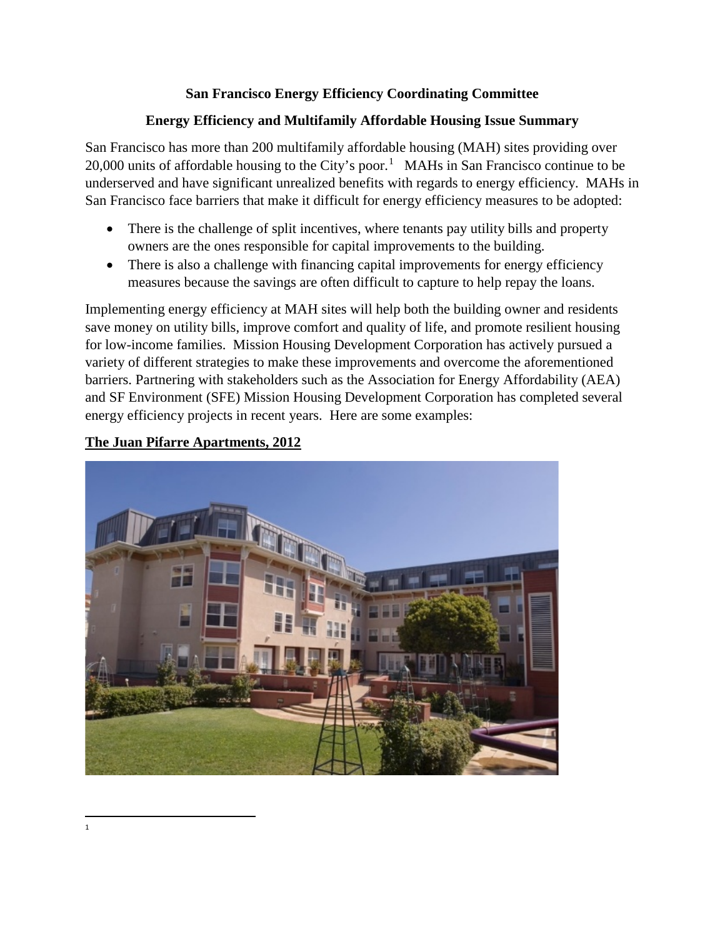# **San Francisco Energy Efficiency Coordinating Committee**

# **Energy Efficiency and Multifamily Affordable Housing Issue Summary**

San Francisco has more than 200 multifamily affordable housing (MAH) sites providing over 20,000 units of affordable housing to the City's poor.<sup>[1](#page-3-0)</sup> MAHs in San Francisco continue to be underserved and have significant unrealized benefits with regards to energy efficiency. MAHs in San Francisco face barriers that make it difficult for energy efficiency measures to be adopted:

- There is the challenge of split incentives, where tenants pay utility bills and property owners are the ones responsible for capital improvements to the building.
- There is also a challenge with financing capital improvements for energy efficiency measures because the savings are often difficult to capture to help repay the loans.

Implementing energy efficiency at MAH sites will help both the building owner and residents save money on utility bills, improve comfort and quality of life, and promote resilient housing for low-income families. Mission Housing Development Corporation has actively pursued a variety of different strategies to make these improvements and overcome the aforementioned barriers. Partnering with stakeholders such as the Association for Energy Affordability (AEA) and SF Environment (SFE) Mission Housing Development Corporation has completed several energy efficiency projects in recent years. Here are some examples:

<span id="page-3-0"></span>

# **The Juan Pifarre Apartments, 2012**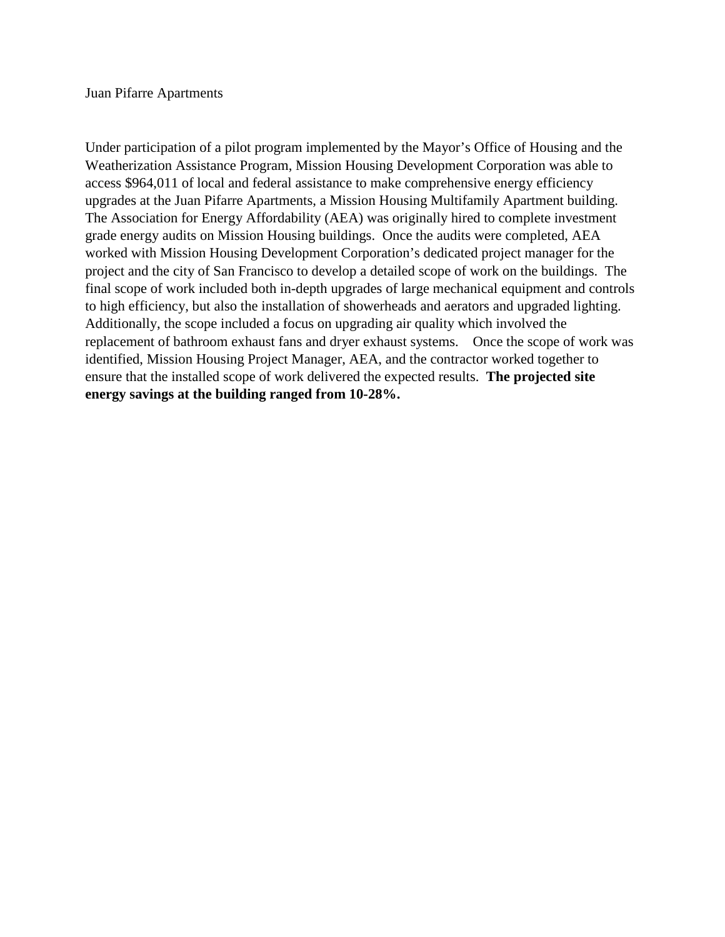#### Juan Pifarre Apartments

Under participation of a pilot program implemented by the Mayor's Office of Housing and the Weatherization Assistance Program, Mission Housing Development Corporation was able to access \$964,011 of local and federal assistance to make comprehensive energy efficiency upgrades at the Juan Pifarre Apartments, a Mission Housing Multifamily Apartment building. The Association for Energy Affordability (AEA) was originally hired to complete investment grade energy audits on Mission Housing buildings. Once the audits were completed, AEA worked with Mission Housing Development Corporation's dedicated project manager for the project and the city of San Francisco to develop a detailed scope of work on the buildings. The final scope of work included both in-depth upgrades of large mechanical equipment and controls to high efficiency, but also the installation of showerheads and aerators and upgraded lighting. Additionally, the scope included a focus on upgrading air quality which involved the replacement of bathroom exhaust fans and dryer exhaust systems. Once the scope of work was identified, Mission Housing Project Manager, AEA, and the contractor worked together to ensure that the installed scope of work delivered the expected results. **The projected site energy savings at the building ranged from 10-28%.**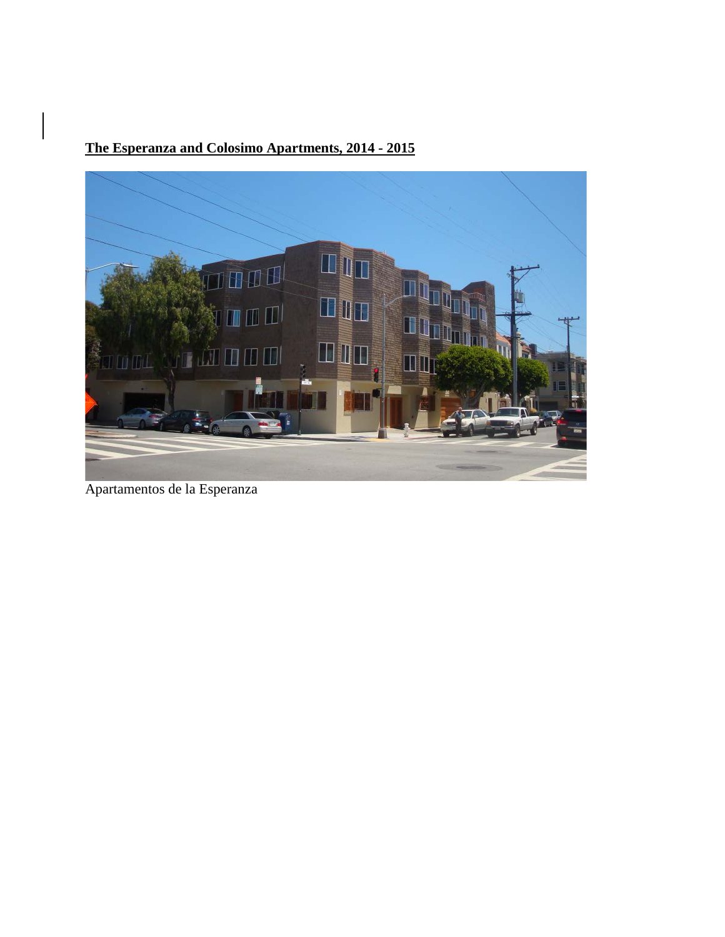# **The Esperanza and Colosimo Apartments, 2014 - 2015**



Apartamentos de la Esperanza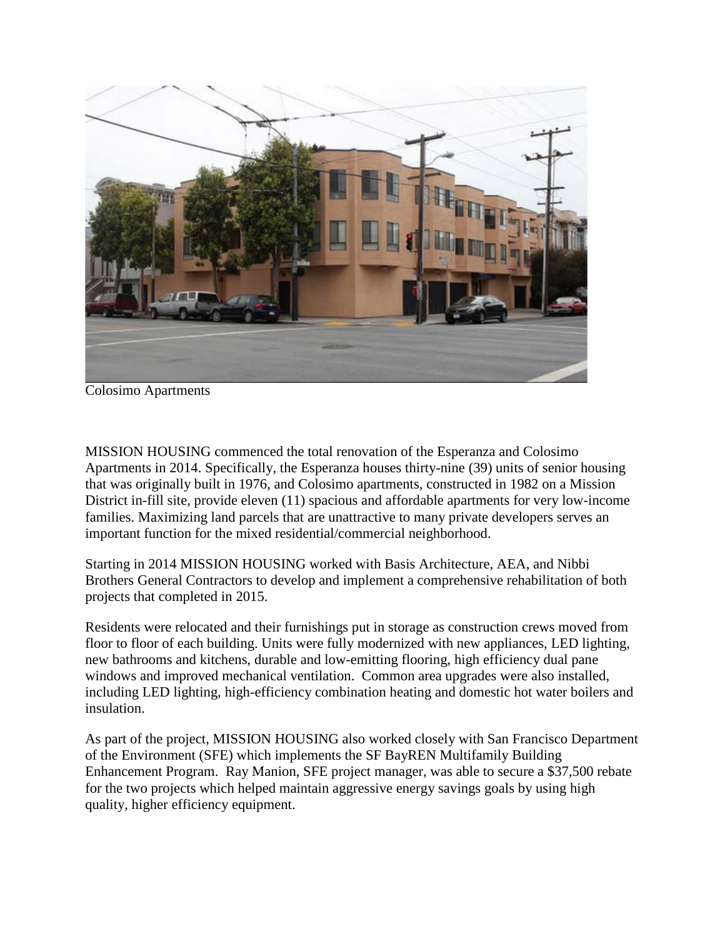

Colosimo Apartments

MISSION HOUSING commenced the total renovation of the Esperanza and Colosimo Apartments in 2014. Specifically, the Esperanza houses thirty-nine (39) units of senior housing that was originally built in 1976, and Colosimo apartments, constructed in 1982 on a Mission District in-fill site, provide eleven (11) spacious and affordable apartments for very low-income families. Maximizing land parcels that are unattractive to many private developers serves an important function for the mixed residential/commercial neighborhood.

Starting in 2014 MISSION HOUSING worked with Basis Architecture, AEA, and Nibbi Brothers General Contractors to develop and implement a comprehensive rehabilitation of both projects that completed in 2015.

Residents were relocated and their furnishings put in storage as construction crews moved from floor to floor of each building. Units were fully modernized with new appliances, LED lighting, new bathrooms and kitchens, durable and low-emitting flooring, high efficiency dual pane windows and improved mechanical ventilation. Common area upgrades were also installed, including LED lighting, high-efficiency combination heating and domestic hot water boilers and insulation.

As part of the project, MISSION HOUSING also worked closely with San Francisco Department of the Environment (SFE) which implements the SF BayREN Multifamily Building Enhancement Program. Ray Manion, SFE project manager, was able to secure a \$37,500 rebate for the two projects which helped maintain aggressive energy savings goals by using high quality, higher efficiency equipment.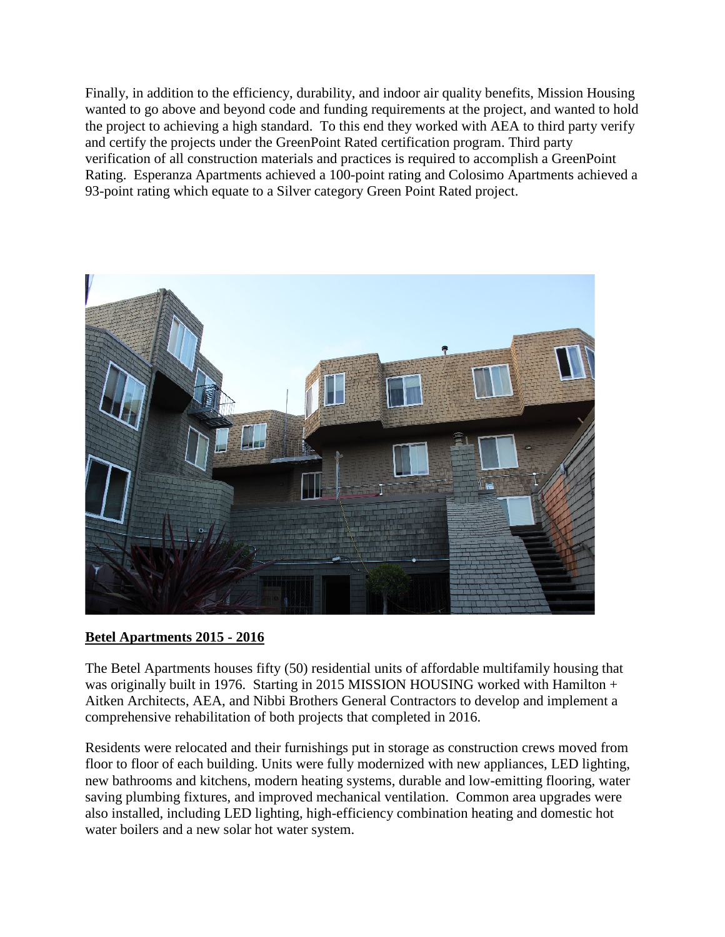Finally, in addition to the efficiency, durability, and indoor air quality benefits, Mission Housing wanted to go above and beyond code and funding requirements at the project, and wanted to hold the project to achieving a high standard. To this end they worked with AEA to third party verify and certify the projects under the [GreenPoint Rated c](http://greenpointrated.com/)ertification program. Third party verification of all construction materials and practices is required to accomplish a GreenPoint Rating. Esperanza Apartments achieved a 100-point rating and Colosimo Apartments achieved a 93-point rating which equate to a Silver category Green Point Rated project.



# **Betel Apartments 2015 - 2016**

The Betel Apartments houses fifty (50) residential units of affordable multifamily housing that was originally built in 1976. Starting in 2015 MISSION HOUSING worked with Hamilton + Aitken Architects, AEA, and Nibbi Brothers General Contractors to develop and implement a comprehensive rehabilitation of both projects that completed in 2016.

Residents were relocated and their furnishings put in storage as construction crews moved from floor to floor of each building. Units were fully modernized with new appliances, LED lighting, new bathrooms and kitchens, modern heating systems, durable and low-emitting flooring, water saving plumbing fixtures, and improved mechanical ventilation. Common area upgrades were also installed, including LED lighting, high-efficiency combination heating and domestic hot water boilers and a new solar hot water system.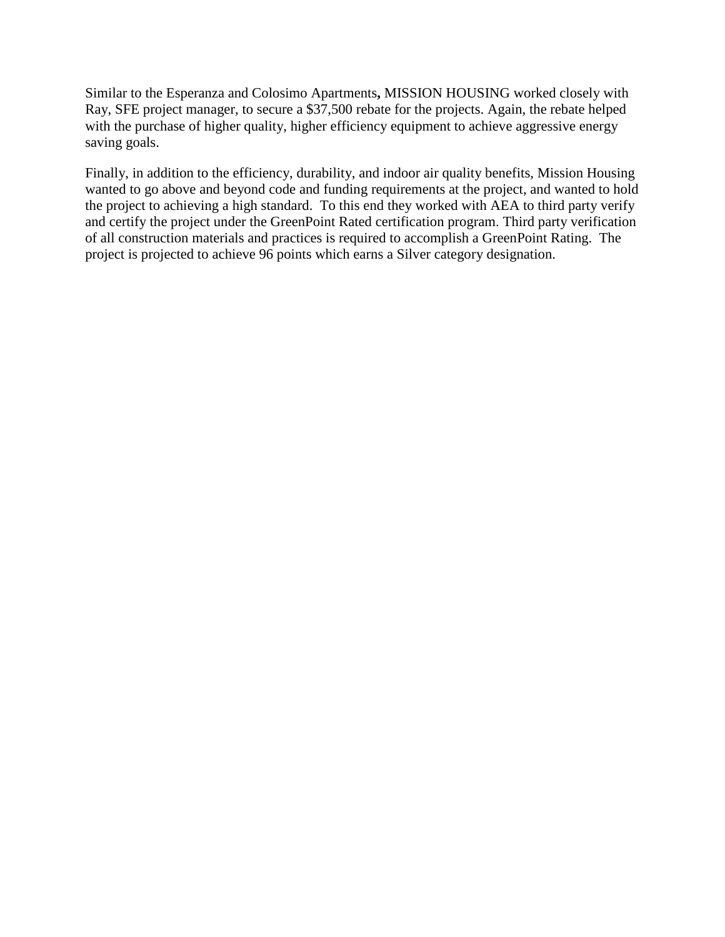Similar to the Esperanza and Colosimo Apartments**,** MISSION HOUSING worked closely with Ray, SFE project manager, to secure a \$37,500 rebate for the projects. Again, the rebate helped with the purchase of higher quality, higher efficiency equipment to achieve aggressive energy saving goals.

Finally, in addition to the efficiency, durability, and indoor air quality benefits, Mission Housing wanted to go above and beyond code and funding requirements at the project, and wanted to hold the project to achieving a high standard. To this end they worked with AEA to third party verify and certify the project under the [GreenPoint Rated c](http://greenpointrated.com/)ertification program. Third party verification of all construction materials and practices is required to accomplish a GreenPoint Rating. The project is projected to achieve 96 points which earns a Silver category designation.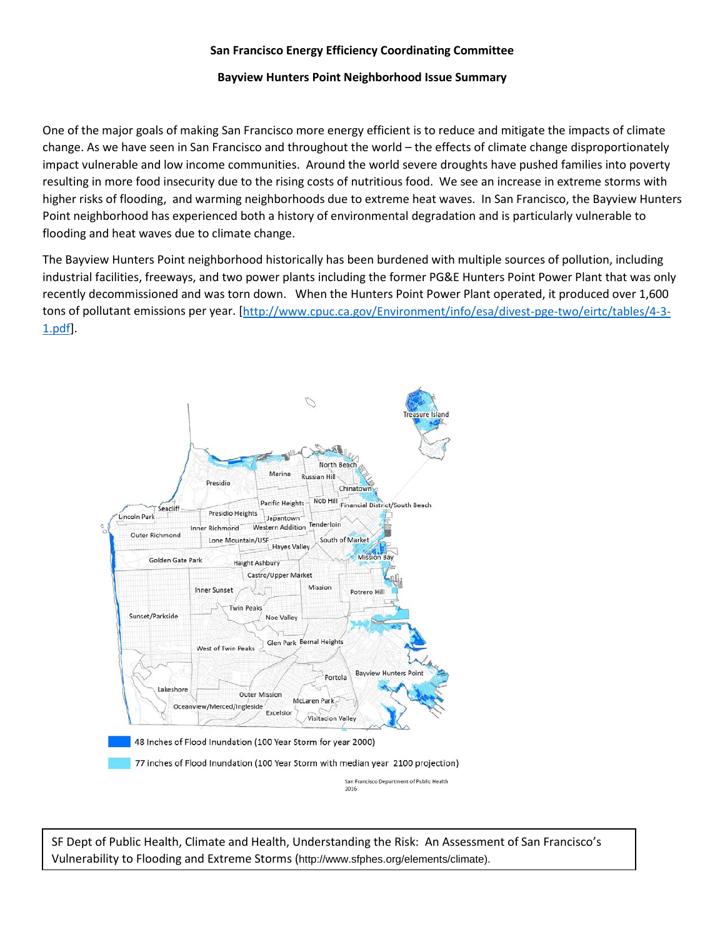## **San Francisco Energy Efficiency Coordinating Committee**

### **Bayview Hunters Point Neighborhood Issue Summary**

One of the major goals of making San Francisco more energy efficient is to reduce and mitigate the impacts of climate change. As we have seen in San Francisco and throughout the world – the effects of climate change disproportionately impact vulnerable and low income communities. Around the world severe droughts have pushed families into poverty resulting in more food insecurity due to the rising costs of nutritious food. We see an increase in extreme storms with higher risks of flooding, and warming neighborhoods due to extreme heat waves. In San Francisco, the Bayview Hunters Point neighborhood has experienced both a history of environmental degradation and is particularly vulnerable to flooding and heat waves due to climate change.

The Bayview Hunters Point neighborhood historically has been burdened with multiple sources of pollution, including industrial facilities, freeways, and two power plants including the former PG&E Hunters Point Power Plant that was only recently decommissioned and was torn down. When the Hunters Point Power Plant operated, it produced over 1,600 tons of pollutant emissions per year. [\[http://www.cpuc.ca.gov/Environment/info/esa/divest-pge-two/eirtc/tables/4-3-](http://www.cpuc.ca.gov/Environment/info/esa/divest-pge-two/eirtc/tables/4-3-1.pdf) [1.pdf\]](http://www.cpuc.ca.gov/Environment/info/esa/divest-pge-two/eirtc/tables/4-3-1.pdf).



SF Dept of Public Health, Climate and Health, Understanding the Risk: An Assessment of San Francisco's Vulnerability to Flooding and Extreme Storms (http://www.sfphes.org/elements/climate).